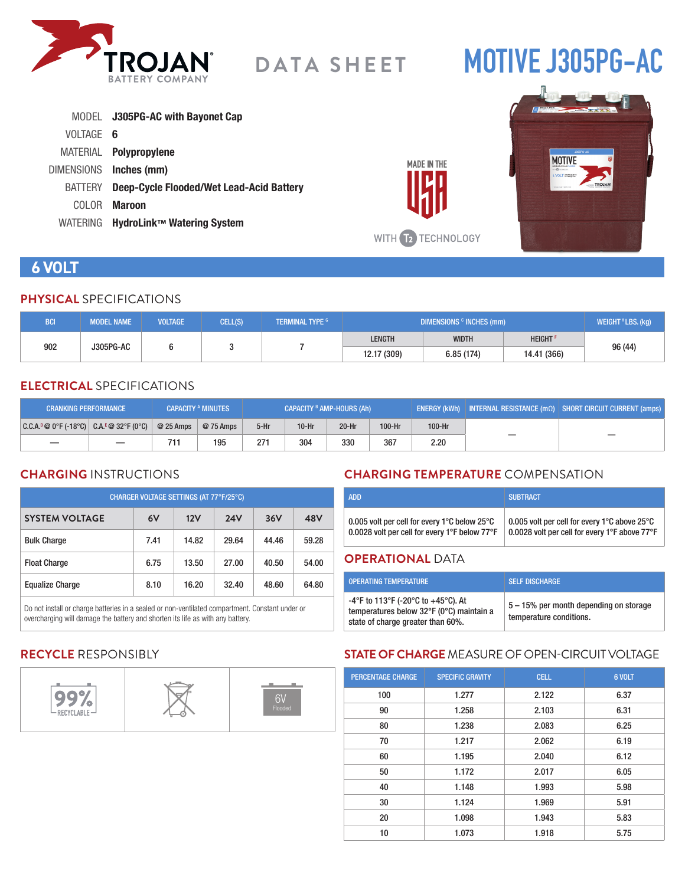

# **MOTIVE J305PG-AC**

|           | MODEL J305PG-AC with Bayonet Cap                 |
|-----------|--------------------------------------------------|
| VOLTAGE 6 |                                                  |
|           | MATERIAL Polypropylene                           |
|           | DIMENSIONS Inches (mm)                           |
|           | BATTERY Deep-Cycle Flooded/Wet Lead-Acid Battery |
|           | COLOR <b>Maroon</b>                              |
|           | WATERING HydroLink™ Watering System              |



**MADE IN THE** 

### **6 VOLT**

#### **PHYSICAL** SPECIFICATIONS

| <b>BCI</b>       | <b>MODEL NAME</b> | <b>VOLTAGE</b> | CELL(S) | <b>TERMINAL TYPE G</b> | DIMENSIONS <sup>c</sup> INCHES (mm) |               |         | WEIGHT <sup>H</sup> LBS. (kg) |
|------------------|-------------------|----------------|---------|------------------------|-------------------------------------|---------------|---------|-------------------------------|
| 902<br>J305PG-AC |                   |                |         | <b>LENGTH</b>          | <b>WIDTH</b>                        | <b>HEIGHT</b> | 96 (44) |                               |
|                  |                   |                |         | 12.17 (309)            | 6.85(174)                           | 14.41 (366)   |         |                               |

#### **ELECTRICAL** SPECIFICATIONS

| <b>CRANKING PERFORMANCE</b>                   |            | <b>CAPACITY A MINUTES</b> | CAPACITY <sup>B</sup> AMP-HOURS (Ah) |         |         | ENERGY (kWh) INTERNAL RESISTANCE $\overline{(m\Omega)}$ SHORT CIRCUIT CURRENT (amps) |        |  |
|-----------------------------------------------|------------|---------------------------|--------------------------------------|---------|---------|--------------------------------------------------------------------------------------|--------|--|
| $ C.C.A.^p@0^cF(-18^cC)  C.A.^E@32^cF(0^cC) $ | $@25$ Amps | @ 75 Amps                 | $5-Hr$                               | $10-Hr$ | $20-Hr$ | 100-Hr                                                                               | 100-Hr |  |
|                                               | 711        | 195                       | 271                                  | 304     | 330     | 367                                                                                  | 2.20   |  |

#### **CHARGING** INSTRUCTIONS

| CHARGER VOLTAGE SETTINGS (AT 77°F/25°C) |      |       |            |       |       |  |  |
|-----------------------------------------|------|-------|------------|-------|-------|--|--|
| <b>SYSTEM VOLTAGE</b>                   | 6V   | 12V   | <b>24V</b> | 36V   | 48V   |  |  |
| <b>Bulk Charge</b>                      | 7.41 | 14.82 | 29.64      | 44.46 | 59.28 |  |  |
| <b>Float Charge</b>                     | 6.75 | 13.50 | 27.00      | 40.50 | 54.00 |  |  |
| <b>Equalize Charge</b>                  | 8.10 | 16.20 | 32.40      | 48.60 | 64.80 |  |  |

Do not install or charge batteries in a sealed or non-ventilated compartment. Constant under or overcharging will damage the battery and shorten its life as with any battery.

#### **CHARGING TEMPERATURE** COMPENSATION

|                                               | <b>SUBTRACT</b>                               |
|-----------------------------------------------|-----------------------------------------------|
| 0.005 volt per cell for every 1°C below 25°C  | 0.005 volt per cell for every 1°C above 25°C  |
| 0.0028 volt per cell for every 1°F below 77°F | 0.0028 volt per cell for every 1°F above 77°F |

#### **OPERATIONAL** DATA

| <b>OPERATING TEMPERATURE</b>                                                                                        | <b>SELF DISCHARGE</b>                                             |
|---------------------------------------------------------------------------------------------------------------------|-------------------------------------------------------------------|
| -4°F to 113°F (-20°C to +45°C). At<br>temperatures below 32°F (0°C) maintain a<br>state of charge greater than 60%. | 5 – 15% per month depending on storage<br>temperature conditions. |

#### **RECYCLE** RESPONSIBLY



#### **STATE OF CHARGE** MEASURE OF OPEN-CIRCUIT VOLTAGE

| <b>PERCENTAGE CHARGE</b> | <b>SPECIFIC GRAVITY</b> | <b>CELL</b> | 6 VOLT |
|--------------------------|-------------------------|-------------|--------|
| 100                      | 1.277                   | 2.122       | 6.37   |
| 90                       | 1.258                   | 2.103       | 6.31   |
| 80                       | 1.238                   | 2.083       | 6.25   |
| 70                       | 1.217                   | 2.062       | 6.19   |
| 60                       | 1.195                   | 2.040       | 6.12   |
| 50                       | 1.172                   | 2.017       | 6.05   |
| 40                       | 1.148                   | 1.993       | 5.98   |
| 30                       | 1.124                   | 1.969       | 5.91   |
| 20                       | 1.098                   | 1.943       | 5.83   |
| 10                       | 1.073                   | 1.918       | 5.75   |